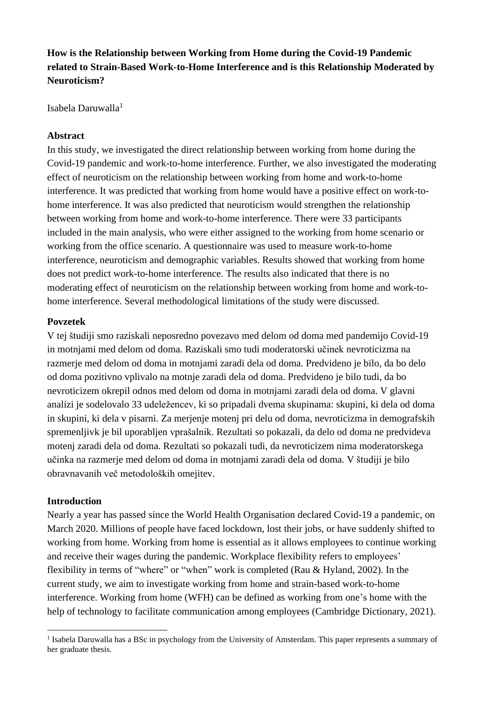**How is the Relationship between Working from Home during the Covid-19 Pandemic related to Strain-Based Work-to-Home Interference and is this Relationship Moderated by Neuroticism?**

Isabela Daruwalla<sup>1</sup>

## **Abstract**

In this study, we investigated the direct relationship between working from home during the Covid-19 pandemic and work-to-home interference. Further, we also investigated the moderating effect of neuroticism on the relationship between working from home and work-to-home interference. It was predicted that working from home would have a positive effect on work-tohome interference. It was also predicted that neuroticism would strengthen the relationship between working from home and work-to-home interference. There were 33 participants included in the main analysis, who were either assigned to the working from home scenario or working from the office scenario. A questionnaire was used to measure work-to-home interference, neuroticism and demographic variables. Results showed that working from home does not predict work-to-home interference. The results also indicated that there is no moderating effect of neuroticism on the relationship between working from home and work-tohome interference. Several methodological limitations of the study were discussed.

## **Povzetek**

V tej študiji smo raziskali neposredno povezavo med delom od doma med pandemijo Covid-19 in motnjami med delom od doma. Raziskali smo tudi moderatorski učinek nevroticizma na razmerje med delom od doma in motnjami zaradi dela od doma. Predvideno je bilo, da bo delo od doma pozitivno vplivalo na motnje zaradi dela od doma. Predvideno je bilo tudi, da bo nevroticizem okrepil odnos med delom od doma in motnjami zaradi dela od doma. V glavni analizi je sodelovalo 33 udeležencev, ki so pripadali dvema skupinama: skupini, ki dela od doma in skupini, ki dela v pisarni. Za merjenje motenj pri delu od doma, nevroticizma in demografskih spremenljivk je bil uporabljen vprašalnik. Rezultati so pokazali, da delo od doma ne predvideva motenj zaradi dela od doma. Rezultati so pokazali tudi, da nevroticizem nima moderatorskega učinka na razmerje med delom od doma in motnjami zaradi dela od doma. V študiji je bilo obravnavanih več metodoloških omejitev.

### **Introduction**

Nearly a year has passed since the World Health Organisation declared Covid-19 a pandemic, on March 2020. Millions of people have faced lockdown, lost their jobs, or have suddenly shifted to working from home. Working from home is essential as it allows employees to continue working and receive their wages during the pandemic. Workplace flexibility refers to employees' flexibility in terms of "where" or "when" work is completed (Rau & Hyland, 2002). In the current study, we aim to investigate working from home and strain-based work-to-home interference. Working from home (WFH) can be defined as working from one's home with the help of technology to facilitate communication among employees (Cambridge Dictionary, 2021).

<sup>&</sup>lt;sup>1</sup> Isabela Daruwalla has a BSc in psychology from the University of Amsterdam. This paper represents a summary of her graduate thesis.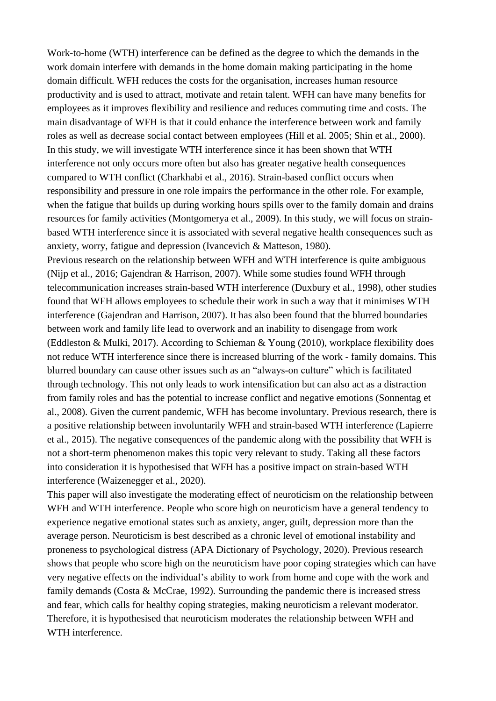Work-to-home (WTH) interference can be defined as the degree to which the demands in the work domain interfere with demands in the home domain making participating in the home domain difficult. WFH reduces the costs for the organisation, increases human resource productivity and is used to attract, motivate and retain talent. WFH can have many benefits for employees as it improves flexibility and resilience and reduces commuting time and costs. The main disadvantage of WFH is that it could enhance the interference between work and family roles as well as decrease social contact between employees (Hill et al. 2005; Shin et al., 2000). In this study, we will investigate WTH interference since it has been shown that WTH interference not only occurs more often but also has greater negative health consequences compared to WTH conflict (Charkhabi et al., 2016). Strain-based conflict occurs when responsibility and pressure in one role impairs the performance in the other role. For example, when the fatigue that builds up during working hours spills over to the family domain and drains resources for family activities (Montgomerya et al., 2009). In this study, we will focus on strainbased WTH interference since it is associated with several negative health consequences such as anxiety, worry, fatigue and depression (Ivancevich & Matteson, 1980).

Previous research on the relationship between WFH and WTH interference is quite ambiguous (Nijp et al., 2016; Gajendran & Harrison, 2007). While some studies found WFH through telecommunication increases strain-based WTH interference (Duxbury et al., 1998), other studies found that WFH allows employees to schedule their work in such a way that it minimises WTH interference (Gajendran and Harrison, 2007). It has also been found that the blurred boundaries between work and family life lead to overwork and an inability to disengage from work (Eddleston & Mulki, 2017). According to Schieman & Young (2010), workplace flexibility does not reduce WTH interference since there is increased blurring of the work - family domains. This blurred boundary can cause other issues such as an "always-on culture" which is facilitated through technology. This not only leads to work intensification but can also act as a distraction from family roles and has the potential to increase conflict and negative emotions (Sonnentag et al., 2008). Given the current pandemic, WFH has become involuntary. Previous research, there is a positive relationship between involuntarily WFH and strain-based WTH interference (Lapierre et al., 2015). The negative consequences of the pandemic along with the possibility that WFH is not a short-term phenomenon makes this topic very relevant to study. Taking all these factors into consideration it is hypothesised that WFH has a positive impact on strain-based WTH interference (Waizenegger et al., 2020).

This paper will also investigate the moderating effect of neuroticism on the relationship between WFH and WTH interference. People who score high on neuroticism have a general tendency to experience negative emotional states such as anxiety, anger, guilt, depression more than the average person. Neuroticism is best described as a chronic level of emotional instability and proneness to psychological distress (APA Dictionary of Psychology, 2020). Previous research shows that people who score high on the neuroticism have poor coping strategies which can have very negative effects on the individual's ability to work from home and cope with the work and family demands (Costa & McCrae, 1992). Surrounding the pandemic there is increased stress and fear, which calls for healthy coping strategies, making neuroticism a relevant moderator. Therefore, it is hypothesised that neuroticism moderates the relationship between WFH and WTH interference.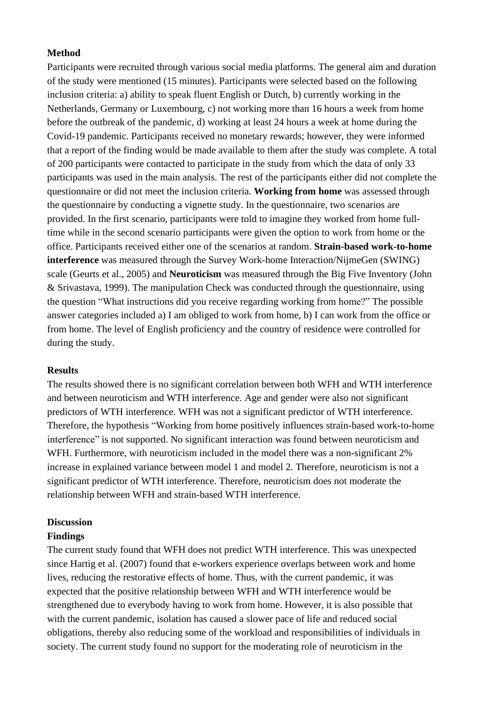## **Method**

Participants were recruited through various social media platforms. The general aim and duration of the study were mentioned (15 minutes). Participants were selected based on the following inclusion criteria: a) ability to speak fluent English or Dutch, b) currently working in the Netherlands, Germany or Luxembourg, c) not working more than 16 hours a week from home before the outbreak of the pandemic, d) working at least 24 hours a week at home during the Covid-19 pandemic. Participants received no monetary rewards; however, they were informed that a report of the finding would be made available to them after the study was complete. A total of 200 participants were contacted to participate in the study from which the data of only 33 participants was used in the main analysis. The rest of the participants either did not complete the questionnaire or did not meet the inclusion criteria. **Working from home** was assessed through the questionnaire by conducting a vignette study. In the questionnaire, two scenarios are provided. In the first scenario, participants were told to imagine they worked from home fulltime while in the second scenario participants were given the option to work from home or the office. Participants received either one of the scenarios at random. **Strain-based work-to-home interference** was measured through the Survey Work-home Interaction/NijmeGen (SWING) scale (Geurts et al., 2005) and **Neuroticism** was measured through the Big Five Inventory (John & Srivastava, 1999). The manipulation Check was conducted through the questionnaire, using the question "What instructions did you receive regarding working from home?" The possible answer categories included a) I am obliged to work from home, b) I can work from the office or from home. The level of English proficiency and the country of residence were controlled for during the study.

### **Results**

The results showed there is no significant correlation between both WFH and WTH interference and between neuroticism and WTH interference. Age and gender were also not significant predictors of WTH interference. WFH was not a significant predictor of WTH interference. Therefore, the hypothesis "Working from home positively influences strain-based work-to-home interference" is not supported. No significant interaction was found between neuroticism and WFH. Furthermore, with neuroticism included in the model there was a non-significant 2% increase in explained variance between model 1 and model 2. Therefore, neuroticism is not a significant predictor of WTH interference. Therefore, neuroticism does not moderate the relationship between WFH and strain-based WTH interference.

# **Discussion**

### **Findings**

The current study found that WFH does not predict WTH interference. This was unexpected since Hartig et al. (2007) found that e-workers experience overlaps between work and home lives, reducing the restorative effects of home. Thus, with the current pandemic, it was expected that the positive relationship between WFH and WTH interference would be strengthened due to everybody having to work from home. However, it is also possible that with the current pandemic, isolation has caused a slower pace of life and reduced social obligations, thereby also reducing some of the workload and responsibilities of individuals in society. The current study found no support for the moderating role of neuroticism in the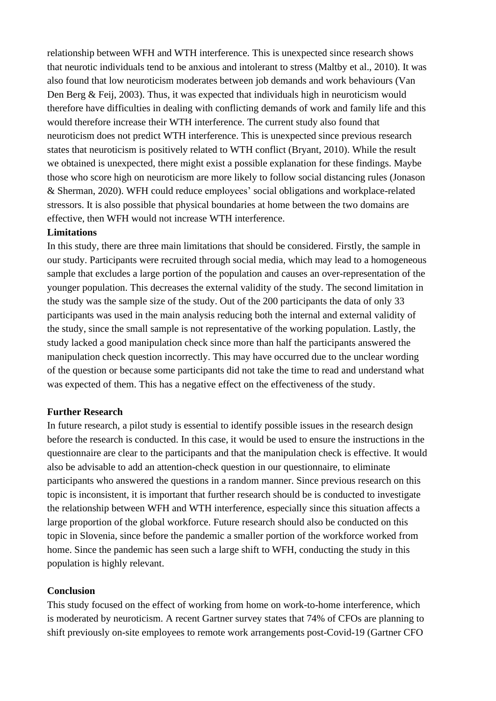relationship between WFH and WTH interference. This is unexpected since research shows that neurotic individuals tend to be anxious and intolerant to stress (Maltby et al., 2010). It was also found that low neuroticism moderates between job demands and work behaviours (Van Den Berg & Feij, 2003). Thus, it was expected that individuals high in neuroticism would therefore have difficulties in dealing with conflicting demands of work and family life and this would therefore increase their WTH interference. The current study also found that neuroticism does not predict WTH interference. This is unexpected since previous research states that neuroticism is positively related to WTH conflict (Bryant, 2010). While the result we obtained is unexpected, there might exist a possible explanation for these findings. Maybe those who score high on neuroticism are more likely to follow social distancing rules (Jonason & Sherman, 2020). WFH could reduce employees' social obligations and workplace-related stressors. It is also possible that physical boundaries at home between the two domains are effective, then WFH would not increase WTH interference.

## **Limitations**

In this study, there are three main limitations that should be considered. Firstly, the sample in our study. Participants were recruited through social media, which may lead to a homogeneous sample that excludes a large portion of the population and causes an over-representation of the younger population. This decreases the external validity of the study. The second limitation in the study was the sample size of the study. Out of the 200 participants the data of only 33 participants was used in the main analysis reducing both the internal and external validity of the study, since the small sample is not representative of the working population. Lastly, the study lacked a good manipulation check since more than half the participants answered the manipulation check question incorrectly. This may have occurred due to the unclear wording of the question or because some participants did not take the time to read and understand what was expected of them. This has a negative effect on the effectiveness of the study.

### **Further Research**

In future research, a pilot study is essential to identify possible issues in the research design before the research is conducted. In this case, it would be used to ensure the instructions in the questionnaire are clear to the participants and that the manipulation check is effective. It would also be advisable to add an attention-check question in our questionnaire, to eliminate participants who answered the questions in a random manner. Since previous research on this topic is inconsistent, it is important that further research should be is conducted to investigate the relationship between WFH and WTH interference, especially since this situation affects a large proportion of the global workforce. Future research should also be conducted on this topic in Slovenia, since before the pandemic a smaller portion of the workforce worked from home. Since the pandemic has seen such a large shift to WFH, conducting the study in this population is highly relevant.

### **Conclusion**

This study focused on the effect of working from home on work-to-home interference, which is moderated by neuroticism. A recent Gartner survey states that 74% of CFOs are planning to shift previously on-site employees to remote work arrangements post-Covid-19 (Gartner CFO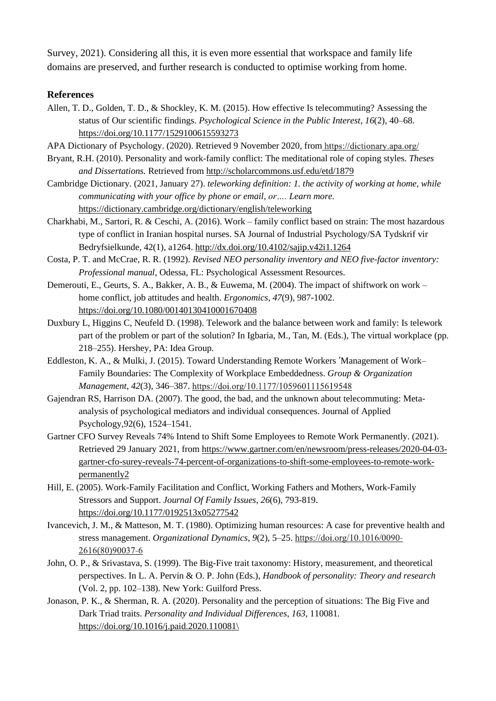Survey, 2021). Considering all this, it is even more essential that workspace and family life domains are preserved, and further research is conducted to optimise working from home.

#### **References**

- Allen, T. D., Golden, T. D., & Shockley, K. M. (2015). How effective Is telecommuting? Assessing the status of Our scientific findings. *Psychological Science in the Public Interest*, *16*(2), 40–68. <https://doi.org/10.1177/1529100615593273>
- APA Dictionary of Psychology. (2020). Retrieved 9 Nove[m](https://dictionary.apa.org/)ber 2020, from https://dictionary.apa.org/
- Bryant, R.H. (2010). Personality and work-family conflict: The meditational role of coping styles. *Theses and Dissertations.* Retrieved from <http://scholarcommons.usf.edu/etd/1879>
- Cambridge Dictionary. (2021, January 27). *teleworking definition: 1. the activity of working at home, while communicating with your office by phone or email, or…. Learn more.* <https://dictionary.cambridge.org/dictionary/english/teleworking>
- Charkhabi, M., Sartori, R. & Ceschi, A. (2016). Work family conflict based on strain: The most hazardous type of conflict in Iranian hospital nurses. SA Journal of Industrial Psychology/SA Tydskrif vir Bedryfsielkunde, 42(1), a1264. <http://dx.doi.org/10.4102/sajip.v42i1.1264>
- Costa, P. T. and McCrae, R. R. (1992). *Revised NEO personality inventory and NEO five-factor inventory: Professional manual*, Odessa, FL: Psychological Assessment Resources.
- Demerouti, E., Geurts, S. A., Bakker, A. B., & Euwema, M. (2004). The impact of shiftwork on work home conflict, job attitudes and health. *Ergonomics*, *47*(9), 987-1002[.](https://doi.org/10.1080/00140130410001670408) <https://doi.org/10.1080/00140130410001670408>
- Duxbury L, Higgins C, Neufeld D. (1998). Telework and the balance between work and family: Is telework part of the problem or part of the solution? In Igbaria, M., Tan, M. (Eds.), The virtual workplace (pp. 218–255). Hershey, PA: Idea Group.
- Eddleston, K. A., & Mulki, J. (2015). Toward Understanding Remote Workers 'Management of Work– Family Boundaries: The Complexity of Workplace Embeddedness. *Group & Organization Management*, 42(3), 346–387[.](https://doi.org/10.1177/1059601115619548) https://doi.org/10.1177/1059601115619548
- Gajendran RS, Harrison DA. (2007). The good, the bad, and the unknown about telecommuting: Metaanalysis of psychological mediators and individual consequences. Journal of Applied Psychology,92(6), 1524–1541.
- Gartner CFO Survey Reveals 74% Intend to Shift Some Employees to Remote Work Permanently. (2021). Retrieved 29 January 2021, from [https://www.gartner.com/en/newsroom/press-releases/2020-04-03](https://www.gartner.com/en/newsroom/press-releases/2020-04-03-gartner-cfo-surey-reveals-74-percent-of-organizations-to-shift-some-employees-to-remote-work-permanently2) [gartner-cfo-surey-reveals-74-percent-of-organizations-to-shift-some-employees-to-remote-work](https://www.gartner.com/en/newsroom/press-releases/2020-04-03-gartner-cfo-surey-reveals-74-percent-of-organizations-to-shift-some-employees-to-remote-work-permanently2)[permanently2](https://www.gartner.com/en/newsroom/press-releases/2020-04-03-gartner-cfo-surey-reveals-74-percent-of-organizations-to-shift-some-employees-to-remote-work-permanently2)
- Hill, E. (2005). Work-Family Facilitation and Conflict, Working Fathers and Mothers, Work-Family Stressors and Support. *Journal Of Family Issues*, *26*(6), 793-819. <https://doi.org/10.1177/0192513x05277542>
- Ivancevich, J. M., & Matteson, M. T. (1980). Optimizing human resources: A case for preventive health and stress management. *Organizational Dynamics*,  $9(2)$ , 5–25. https://doi.org/10.1016/0090-2616(80)90037-6
- John, O. P., & Srivastava, S. (1999). The Big-Five trait taxonomy: History, measurement, and theoretical perspectives. In L. A. Pervin & O. P. John (Eds.), *Handbook of personality: Theory and research* (Vol. 2, pp. 102–138). New York: Guilford Press.
- Jonason, P. K., & Sherman, R. A. (2020). Personality and the perception of situations: The Big Five and Dark Triad traits. *Personality and Individual Differences*, *163*, 110081. [https://doi.org/10.1016/j.paid.2020.110081\](https://doi.org/10.1016/j.paid.2020.110081/)